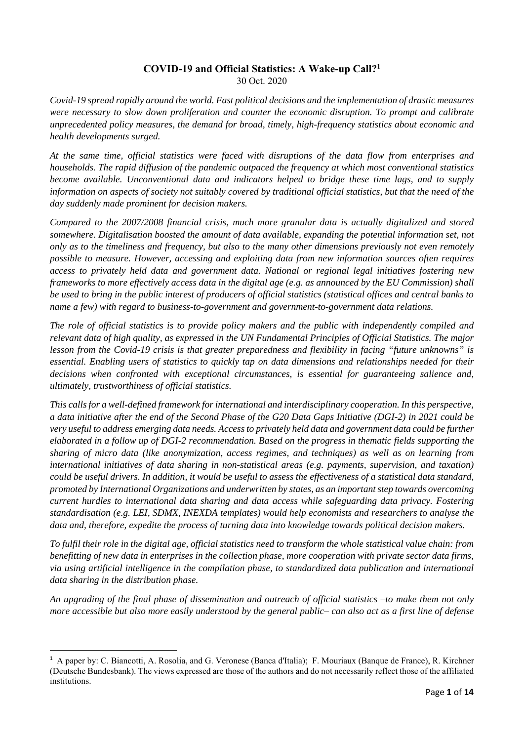### **COVID-19 and Official Statistics: A Wake-up Call?<sup>1</sup>** 30 Oct. 2020

*Covid-19 spread rapidly around the world. Fast political decisions and the implementation of drastic measures were necessary to slow down proliferation and counter the economic disruption. To prompt and calibrate unprecedented policy measures, the demand for broad, timely, high-frequency statistics about economic and health developments surged.* 

*At the same time, official statistics were faced with disruptions of the data flow from enterprises and households. The rapid diffusion of the pandemic outpaced the frequency at which most conventional statistics become available. Unconventional data and indicators helped to bridge these time lags, and to supply information on aspects of society not suitably covered by traditional official statistics, but that the need of the day suddenly made prominent for decision makers.* 

*Compared to the 2007/2008 financial crisis, much more granular data is actually digitalized and stored somewhere. Digitalisation boosted the amount of data available, expanding the potential information set, not only as to the timeliness and frequency, but also to the many other dimensions previously not even remotely possible to measure. However, accessing and exploiting data from new information sources often requires access to privately held data and government data. National or regional legal initiatives fostering new frameworks to more effectively access data in the digital age (e.g. as announced by the EU Commission) shall be used to bring in the public interest of producers of official statistics (statistical offices and central banks to name a few) with regard to business-to-government and government-to-government data relations.* 

*The role of official statistics is to provide policy makers and the public with independently compiled and relevant data of high quality, as expressed in the UN Fundamental Principles of Official Statistics. The major lesson from the Covid-19 crisis is that greater preparedness and flexibility in facing "future unknowns" is essential. Enabling users of statistics to quickly tap on data dimensions and relationships needed for their decisions when confronted with exceptional circumstances, is essential for guaranteeing salience and, ultimately, trustworthiness of official statistics.* 

*This calls for a well-defined framework for international and interdisciplinary cooperation. In this perspective, a data initiative after the end of the Second Phase of the G20 Data Gaps Initiative (DGI-2) in 2021 could be very useful to address emerging data needs. Access to privately held data and government data could be further elaborated in a follow up of DGI-2 recommendation. Based on the progress in thematic fields supporting the sharing of micro data (like anonymization, access regimes, and techniques) as well as on learning from international initiatives of data sharing in non-statistical areas (e.g. payments, supervision, and taxation) could be useful drivers. In addition, it would be useful to assess the effectiveness of a statistical data standard, promoted by International Organizations and underwritten by states, as an important step towards overcoming current hurdles to international data sharing and data access while safeguarding data privacy. Fostering standardisation (e.g. LEI, SDMX, INEXDA templates) would help economists and researchers to analyse the data and, therefore, expedite the process of turning data into knowledge towards political decision makers.* 

*To fulfil their role in the digital age, official statistics need to transform the whole statistical value chain: from benefitting of new data in enterprises in the collection phase, more cooperation with private sector data firms, via using artificial intelligence in the compilation phase, to standardized data publication and international data sharing in the distribution phase.* 

*An upgrading of the final phase of dissemination and outreach of official statistics –to make them not only more accessible but also more easily understood by the general public– can also act as a first line of defense* 

<sup>&</sup>lt;sup>1</sup> A paper by: C. Biancotti, A. Rosolia, and G. Veronese (Banca d'Italia); F. Mouriaux (Banque de France), R. Kirchner (Deutsche Bundesbank). The views expressed are those of the authors and do not necessarily reflect those of the affiliated institutions.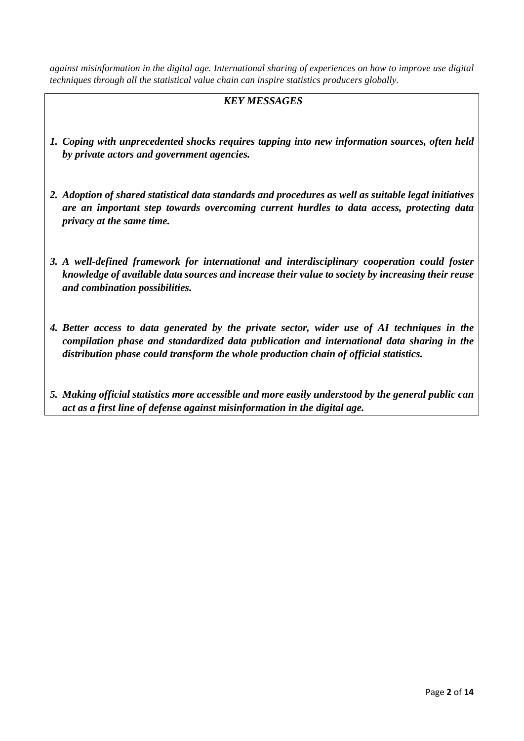*against misinformation in the digital age. International sharing of experiences on how to improve use digital techniques through all the statistical value chain can inspire statistics producers globally.* 

# *KEY MESSAGES*

- *1. Coping with unprecedented shocks requires tapping into new information sources, often held by private actors and government agencies.*
- *2. Adoption of shared statistical data standards and procedures as well as suitable legal initiatives are an important step towards overcoming current hurdles to data access, protecting data privacy at the same time.*
- *3. A well-defined framework for international and interdisciplinary cooperation could foster knowledge of available data sources and increase their value to society by increasing their reuse and combination possibilities.*
- *4. Better access to data generated by the private sector, wider use of AI techniques in the compilation phase and standardized data publication and international data sharing in the distribution phase could transform the whole production chain of official statistics.*
- *5. Making official statistics more accessible and more easily understood by the general public can act as a first line of defense against misinformation in the digital age.*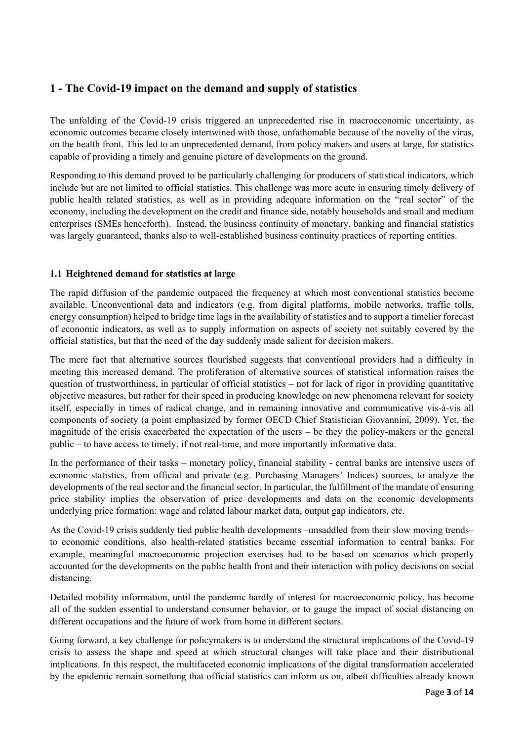# **1 - The Covid-19 impact on the demand and supply of statistics**

The unfolding of the Covid-19 crisis triggered an unprecedented rise in macroeconomic uncertainty, as economic outcomes became closely intertwined with those, unfathomable because of the novelty of the virus, on the health front. This led to an unprecedented demand, from policy makers and users at large, for statistics capable of providing a timely and genuine picture of developments on the ground.

Responding to this demand proved to be particularly challenging for producers of statistical indicators, which include but are not limited to official statistics. This challenge was more acute in ensuring timely delivery of public health related statistics, as well as in providing adequate information on the "real sector" of the economy, including the development on the credit and finance side, notably households and small and medium enterprises (SMEs henceforth). Instead, the business continuity of monetary, banking and financial statistics was largely guaranteed, thanks also to well-established business continuity practices of reporting entities.

### **1.1 Heightened demand for statistics at large**

The rapid diffusion of the pandemic outpaced the frequency at which most conventional statistics become available. Unconventional data and indicators (e.g. from digital platforms, mobile networks, traffic tolls, energy consumption) helped to bridge time lags in the availability of statistics and to support a timelier forecast of economic indicators, as well as to supply information on aspects of society not suitably covered by the official statistics, but that the need of the day suddenly made salient for decision makers.

The mere fact that alternative sources flourished suggests that conventional providers had a difficulty in meeting this increased demand. The proliferation of alternative sources of statistical information raises the question of trustworthiness, in particular of official statistics – not for lack of rigor in providing quantitative objective measures, but rather for their speed in producing knowledge on new phenomena relevant for society itself, especially in times of radical change, and in remaining innovative and communicative vis-à-vis all components of society (a point emphasized by former OECD Chief Statistician Giovannini, 2009). Yet, the magnitude of the crisis exacerbated the expectation of the users – be they the policy-makers or the general public – to have access to timely, if not real-time, and more importantly informative data.

In the performance of their tasks – monetary policy, financial stability - central banks are intensive users of economic statistics, from official and private (e.g. Purchasing Managers' Indices) sources, to analyze the developments of the real sector and the financial sector. In particular, the fulfillment of the mandate of ensuring price stability implies the observation of price developments and data on the economic developments underlying price formation: wage and related labour market data, output gap indicators, etc.

As the Covid-19 crisis suddenly tied public health developments –unsaddled from their slow moving trends– to economic conditions, also health-related statistics became essential information to central banks. For example, meaningful macroeconomic projection exercises had to be based on scenarios which properly accounted for the developments on the public health front and their interaction with policy decisions on social distancing.

Detailed mobility information, until the pandemic hardly of interest for macroeconomic policy, has become all of the sudden essential to understand consumer behavior, or to gauge the impact of social distancing on different occupations and the future of work from home in different sectors.

Going forward, a key challenge for policymakers is to understand the structural implications of the Covid-19 crisis to assess the shape and speed at which structural changes will take place and their distributional implications. In this respect, the multifaceted economic implications of the digital transformation accelerated by the epidemic remain something that official statistics can inform us on, albeit difficulties already known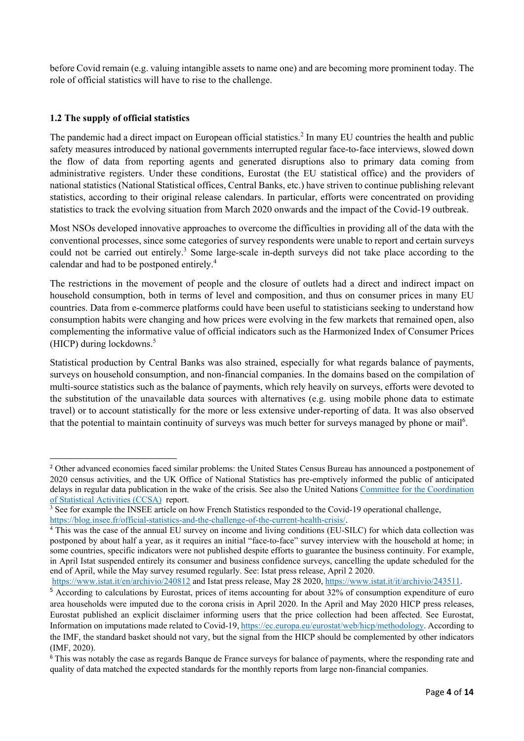before Covid remain (e.g. valuing intangible assets to name one) and are becoming more prominent today. The role of official statistics will have to rise to the challenge.

### **1.2 The supply of official statistics**

The pandemic had a direct impact on European official statistics.<sup>2</sup> In many EU countries the health and public safety measures introduced by national governments interrupted regular face-to-face interviews, slowed down the flow of data from reporting agents and generated disruptions also to primary data coming from administrative registers. Under these conditions, Eurostat (the EU statistical office) and the providers of national statistics (National Statistical offices, Central Banks, etc.) have striven to continue publishing relevant statistics, according to their original release calendars. In particular, efforts were concentrated on providing statistics to track the evolving situation from March 2020 onwards and the impact of the Covid-19 outbreak.

Most NSOs developed innovative approaches to overcome the difficulties in providing all of the data with the conventional processes, since some categories of survey respondents were unable to report and certain surveys could not be carried out entirely.<sup>3</sup> Some large-scale in-depth surveys did not take place according to the calendar and had to be postponed entirely.4

The restrictions in the movement of people and the closure of outlets had a direct and indirect impact on household consumption, both in terms of level and composition, and thus on consumer prices in many EU countries. Data from e-commerce platforms could have been useful to statisticians seeking to understand how consumption habits were changing and how prices were evolving in the few markets that remained open, also complementing the informative value of official indicators such as the Harmonized Index of Consumer Prices (HICP) during lockdowns. $5$ 

Statistical production by Central Banks was also strained, especially for what regards balance of payments, surveys on household consumption, and non-financial companies. In the domains based on the compilation of multi-source statistics such as the balance of payments, which rely heavily on surveys, efforts were devoted to the substitution of the unavailable data sources with alternatives (e.g. using mobile phone data to estimate travel) or to account statistically for the more or less extensive under-reporting of data. It was also observed that the potential to maintain continuity of surveys was much better for surveys managed by phone or mail<sup>6</sup>.

<sup>&</sup>lt;sup>2</sup> Other advanced economies faced similar problems: the United States Census Bureau has announced a postponement of 2020 census activities, and the UK Office of National Statistics has pre-emptively informed the public of anticipated delays in regular data publication in the wake of the crisis. See also the United Nations Committee for the Coordination of Statistical Activities (CCSA) report.

<sup>&</sup>lt;sup>3</sup> See for example the INSEE article on how French Statistics responded to the Covid-19 operational challenge, https://blog.insee.fr/official-statistics-and-the-challenge-of-the-current-health-crisis/.

<sup>&</sup>lt;sup>4</sup> This was the case of the annual EU survey on income and living conditions (EU-SILC) for which data collection was postponed by about half a year, as it requires an initial "face-to-face" survey interview with the household at home; in some countries, specific indicators were not published despite efforts to guarantee the business continuity. For example, in April Istat suspended entirely its consumer and business confidence surveys, cancelling the update scheduled for the end of April, while the May survey resumed regularly. See: Istat press release, April 2 2020.

https://www.istat.it/en/archivio/240812 and Istat press release, May 28 2020, https://www.istat.it/it/archivio/243511.

<sup>&</sup>lt;sup>5</sup> According to calculations by Eurostat, prices of items accounting for about 32% of consumption expenditure of euro area households were imputed due to the corona crisis in April 2020. In the April and May 2020 HICP press releases, Eurostat published an explicit disclaimer informing users that the price collection had been affected. See Eurostat, Information on imputations made related to Covid-19, https://ec.europa.eu/eurostat/web/hicp/methodology. According to the IMF, the standard basket should not vary, but the signal from the HICP should be complemented by other indicators (IMF, 2020).

<sup>&</sup>lt;sup>6</sup> This was notably the case as regards Banque de France surveys for balance of payments, where the responding rate and quality of data matched the expected standards for the monthly reports from large non-financial companies.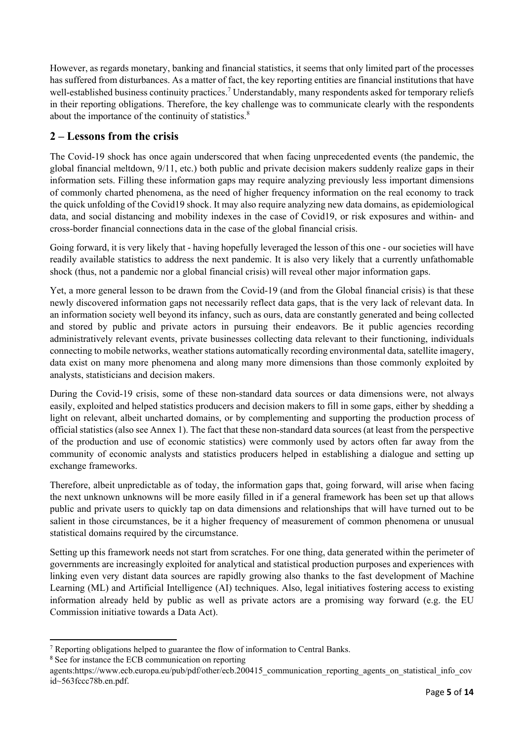However, as regards monetary, banking and financial statistics, it seems that only limited part of the processes has suffered from disturbances. As a matter of fact, the key reporting entities are financial institutions that have well-established business continuity practices.<sup>7</sup> Understandably, many respondents asked for temporary reliefs in their reporting obligations. Therefore, the key challenge was to communicate clearly with the respondents about the importance of the continuity of statistics.<sup>8</sup>

# **2 – Lessons from the crisis**

The Covid-19 shock has once again underscored that when facing unprecedented events (the pandemic, the global financial meltdown, 9/11, etc.) both public and private decision makers suddenly realize gaps in their information sets. Filling these information gaps may require analyzing previously less important dimensions of commonly charted phenomena, as the need of higher frequency information on the real economy to track the quick unfolding of the Covid19 shock. It may also require analyzing new data domains, as epidemiological data, and social distancing and mobility indexes in the case of Covid19, or risk exposures and within- and cross-border financial connections data in the case of the global financial crisis.

Going forward, it is very likely that - having hopefully leveraged the lesson of this one - our societies will have readily available statistics to address the next pandemic. It is also very likely that a currently unfathomable shock (thus, not a pandemic nor a global financial crisis) will reveal other major information gaps.

Yet, a more general lesson to be drawn from the Covid-19 (and from the Global financial crisis) is that these newly discovered information gaps not necessarily reflect data gaps, that is the very lack of relevant data. In an information society well beyond its infancy, such as ours, data are constantly generated and being collected and stored by public and private actors in pursuing their endeavors. Be it public agencies recording administratively relevant events, private businesses collecting data relevant to their functioning, individuals connecting to mobile networks, weather stations automatically recording environmental data, satellite imagery, data exist on many more phenomena and along many more dimensions than those commonly exploited by analysts, statisticians and decision makers.

During the Covid-19 crisis, some of these non-standard data sources or data dimensions were, not always easily, exploited and helped statistics producers and decision makers to fill in some gaps, either by shedding a light on relevant, albeit uncharted domains, or by complementing and supporting the production process of official statistics (also see Annex 1). The fact that these non-standard data sources (at least from the perspective of the production and use of economic statistics) were commonly used by actors often far away from the community of economic analysts and statistics producers helped in establishing a dialogue and setting up exchange frameworks.

Therefore, albeit unpredictable as of today, the information gaps that, going forward, will arise when facing the next unknown unknowns will be more easily filled in if a general framework has been set up that allows public and private users to quickly tap on data dimensions and relationships that will have turned out to be salient in those circumstances, be it a higher frequency of measurement of common phenomena or unusual statistical domains required by the circumstance.

Setting up this framework needs not start from scratches. For one thing, data generated within the perimeter of governments are increasingly exploited for analytical and statistical production purposes and experiences with linking even very distant data sources are rapidly growing also thanks to the fast development of Machine Learning (ML) and Artificial Intelligence (AI) techniques. Also, legal initiatives fostering access to existing information already held by public as well as private actors are a promising way forward (e.g. the EU Commission initiative towards a Data Act).

  $7$  Reporting obligations helped to guarantee the flow of information to Central Banks.

<sup>8</sup> See for instance the ECB communication on reporting

agents:https://www.ecb.europa.eu/pub/pdf/other/ecb.200415\_communication\_reporting\_agents\_on\_statistical\_info\_cov id~563fccc78b.en.pdf.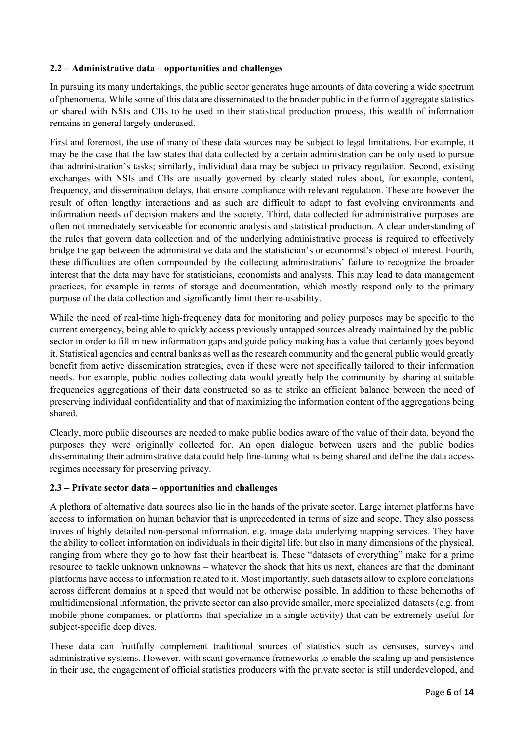### **2.2 – Administrative data – opportunities and challenges**

In pursuing its many undertakings, the public sector generates huge amounts of data covering a wide spectrum of phenomena. While some of this data are disseminated to the broader public in the form of aggregate statistics or shared with NSIs and CBs to be used in their statistical production process, this wealth of information remains in general largely underused.

First and foremost, the use of many of these data sources may be subject to legal limitations. For example, it may be the case that the law states that data collected by a certain administration can be only used to pursue that administration's tasks; similarly, individual data may be subject to privacy regulation. Second, existing exchanges with NSIs and CBs are usually governed by clearly stated rules about, for example, content, frequency, and dissemination delays, that ensure compliance with relevant regulation. These are however the result of often lengthy interactions and as such are difficult to adapt to fast evolving environments and information needs of decision makers and the society. Third, data collected for administrative purposes are often not immediately serviceable for economic analysis and statistical production. A clear understanding of the rules that govern data collection and of the underlying administrative process is required to effectively bridge the gap between the administrative data and the statistician's or economist's object of interest. Fourth, these difficulties are often compounded by the collecting administrations' failure to recognize the broader interest that the data may have for statisticians, economists and analysts. This may lead to data management practices, for example in terms of storage and documentation, which mostly respond only to the primary purpose of the data collection and significantly limit their re-usability.

While the need of real-time high-frequency data for monitoring and policy purposes may be specific to the current emergency, being able to quickly access previously untapped sources already maintained by the public sector in order to fill in new information gaps and guide policy making has a value that certainly goes beyond it. Statistical agencies and central banks as well as the research community and the general public would greatly benefit from active dissemination strategies, even if these were not specifically tailored to their information needs. For example, public bodies collecting data would greatly help the community by sharing at suitable frequencies aggregations of their data constructed so as to strike an efficient balance between the need of preserving individual confidentiality and that of maximizing the information content of the aggregations being shared.

Clearly, more public discourses are needed to make public bodies aware of the value of their data, beyond the purposes they were originally collected for. An open dialogue between users and the public bodies disseminating their administrative data could help fine-tuning what is being shared and define the data access regimes necessary for preserving privacy.

#### **2.3 – Private sector data – opportunities and challenges**

A plethora of alternative data sources also lie in the hands of the private sector. Large internet platforms have access to information on human behavior that is unprecedented in terms of size and scope. They also possess troves of highly detailed non-personal information, e.g. image data underlying mapping services. They have the ability to collect information on individuals in their digital life, but also in many dimensions of the physical, ranging from where they go to how fast their heartbeat is. These "datasets of everything" make for a prime resource to tackle unknown unknowns – whatever the shock that hits us next, chances are that the dominant platforms have access to information related to it. Most importantly, such datasets allow to explore correlations across different domains at a speed that would not be otherwise possible. In addition to these behemoths of multidimensional information, the private sector can also provide smaller, more specialized datasets (e.g. from mobile phone companies, or platforms that specialize in a single activity) that can be extremely useful for subject-specific deep dives.

These data can fruitfully complement traditional sources of statistics such as censuses, surveys and administrative systems. However, with scant governance frameworks to enable the scaling up and persistence in their use, the engagement of official statistics producers with the private sector is still underdeveloped, and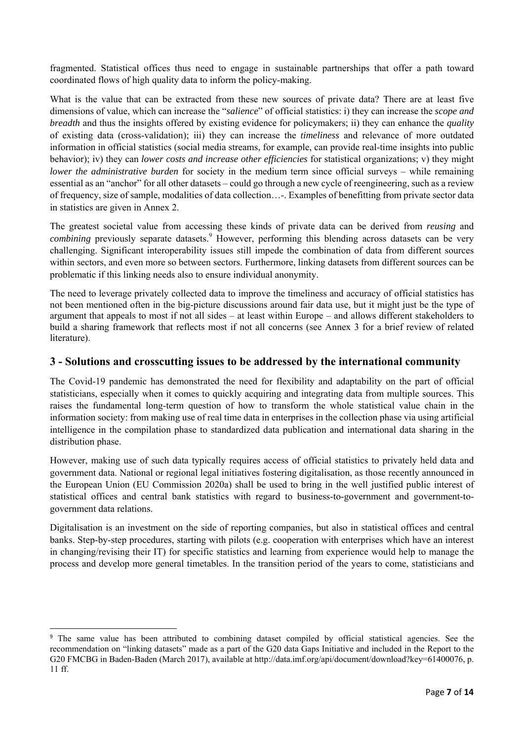fragmented. Statistical offices thus need to engage in sustainable partnerships that offer a path toward coordinated flows of high quality data to inform the policy-making.

What is the value that can be extracted from these new sources of private data? There are at least five dimensions of value, which can increase the "*salience*" of official statistics: i) they can increase the *scope and breadth* and thus the insights offered by existing evidence for policymakers; ii) they can enhance the *quality* of existing data (cross-validation); iii) they can increase the *timeliness* and relevance of more outdated information in official statistics (social media streams, for example, can provide real-time insights into public behavior); iv) they can *lower costs and increase other efficiencies* for statistical organizations; v) they might *lower the administrative burden* for society in the medium term since official surveys – while remaining essential as an "anchor" for all other datasets – could go through a new cycle of reengineering, such as a review of frequency, size of sample, modalities of data collection…-. Examples of benefitting from private sector data in statistics are given in Annex 2.

The greatest societal value from accessing these kinds of private data can be derived from *reusing* and combining previously separate datasets.<sup>9</sup> However, performing this blending across datasets can be very challenging. Significant interoperability issues still impede the combination of data from different sources within sectors, and even more so between sectors. Furthermore, linking datasets from different sources can be problematic if this linking needs also to ensure individual anonymity.

The need to leverage privately collected data to improve the timeliness and accuracy of official statistics has not been mentioned often in the big-picture discussions around fair data use, but it might just be the type of argument that appeals to most if not all sides – at least within Europe – and allows different stakeholders to build a sharing framework that reflects most if not all concerns (see Annex 3 for a brief review of related literature).

### **3 - Solutions and crosscutting issues to be addressed by the international community**

The Covid-19 pandemic has demonstrated the need for flexibility and adaptability on the part of official statisticians, especially when it comes to quickly acquiring and integrating data from multiple sources. This raises the fundamental long-term question of how to transform the whole statistical value chain in the information society: from making use of real time data in enterprises in the collection phase via using artificial intelligence in the compilation phase to standardized data publication and international data sharing in the distribution phase.

However, making use of such data typically requires access of official statistics to privately held data and government data. National or regional legal initiatives fostering digitalisation, as those recently announced in the European Union (EU Commission 2020a) shall be used to bring in the well justified public interest of statistical offices and central bank statistics with regard to business-to-government and government-togovernment data relations.

Digitalisation is an investment on the side of reporting companies, but also in statistical offices and central banks. Step-by-step procedures, starting with pilots (e.g. cooperation with enterprises which have an interest in changing/revising their IT) for specific statistics and learning from experience would help to manage the process and develop more general timetables. In the transition period of the years to come, statisticians and

<sup>9</sup> The same value has been attributed to combining dataset compiled by official statistical agencies. See the recommendation on "linking datasets" made as a part of the G20 data Gaps Initiative and included in the Report to the G20 FMCBG in Baden-Baden (March 2017), available at http://data.imf.org/api/document/download?key=61400076, p. 11 ff.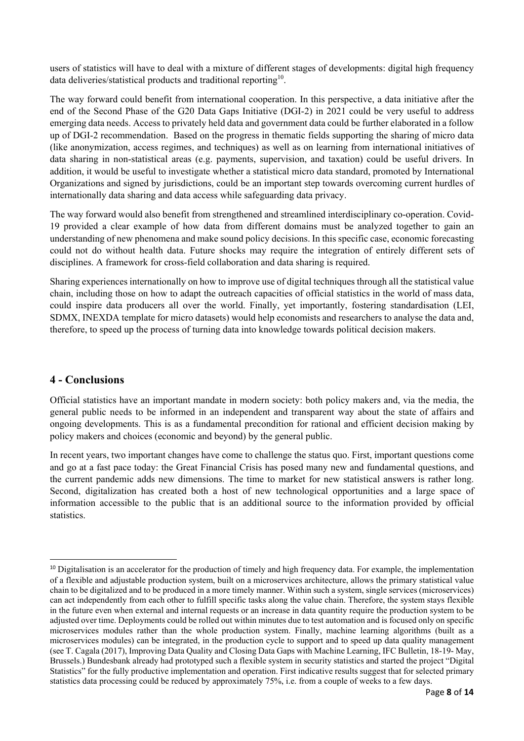users of statistics will have to deal with a mixture of different stages of developments: digital high frequency data deliveries/statistical products and traditional reporting<sup>10</sup>.

The way forward could benefit from international cooperation. In this perspective, a data initiative after the end of the Second Phase of the G20 Data Gaps Initiative (DGI-2) in 2021 could be very useful to address emerging data needs. Access to privately held data and government data could be further elaborated in a follow up of DGI-2 recommendation. Based on the progress in thematic fields supporting the sharing of micro data (like anonymization, access regimes, and techniques) as well as on learning from international initiatives of data sharing in non-statistical areas (e.g. payments, supervision, and taxation) could be useful drivers. In addition, it would be useful to investigate whether a statistical micro data standard, promoted by International Organizations and signed by jurisdictions, could be an important step towards overcoming current hurdles of internationally data sharing and data access while safeguarding data privacy.

The way forward would also benefit from strengthened and streamlined interdisciplinary co-operation. Covid-19 provided a clear example of how data from different domains must be analyzed together to gain an understanding of new phenomena and make sound policy decisions. In this specific case, economic forecasting could not do without health data. Future shocks may require the integration of entirely different sets of disciplines. A framework for cross-field collaboration and data sharing is required.

Sharing experiences internationally on how to improve use of digital techniques through all the statistical value chain, including those on how to adapt the outreach capacities of official statistics in the world of mass data, could inspire data producers all over the world. Finally, yet importantly, fostering standardisation (LEI, SDMX, INEXDA template for micro datasets) would help economists and researchers to analyse the data and, therefore, to speed up the process of turning data into knowledge towards political decision makers.

## **4 - Conclusions**

Official statistics have an important mandate in modern society: both policy makers and, via the media, the general public needs to be informed in an independent and transparent way about the state of affairs and ongoing developments. This is as a fundamental precondition for rational and efficient decision making by policy makers and choices (economic and beyond) by the general public.

In recent years, two important changes have come to challenge the status quo. First, important questions come and go at a fast pace today: the Great Financial Crisis has posed many new and fundamental questions, and the current pandemic adds new dimensions. The time to market for new statistical answers is rather long. Second, digitalization has created both a host of new technological opportunities and a large space of information accessible to the public that is an additional source to the information provided by official statistics.

<sup>&</sup>lt;sup>10</sup> Digitalisation is an accelerator for the production of timely and high frequency data. For example, the implementation of a flexible and adjustable production system, built on a microservices architecture, allows the primary statistical value chain to be digitalized and to be produced in a more timely manner. Within such a system, single services (microservices) can act independently from each other to fulfill specific tasks along the value chain. Therefore, the system stays flexible in the future even when external and internal requests or an increase in data quantity require the production system to be adjusted over time. Deployments could be rolled out within minutes due to test automation and is focused only on specific microservices modules rather than the whole production system. Finally, machine learning algorithms (built as a microservices modules) can be integrated, in the production cycle to support and to speed up data quality management (see T. Cagala (2017), Improving Data Quality and Closing Data Gaps with Machine Learning, IFC Bulletin, 18-19- May, Brussels.) Bundesbank already had prototyped such a flexible system in security statistics and started the project "Digital Statistics" for the fully productive implementation and operation. First indicative results suggest that for selected primary statistics data processing could be reduced by approximately 75%, i.e. from a couple of weeks to a few days.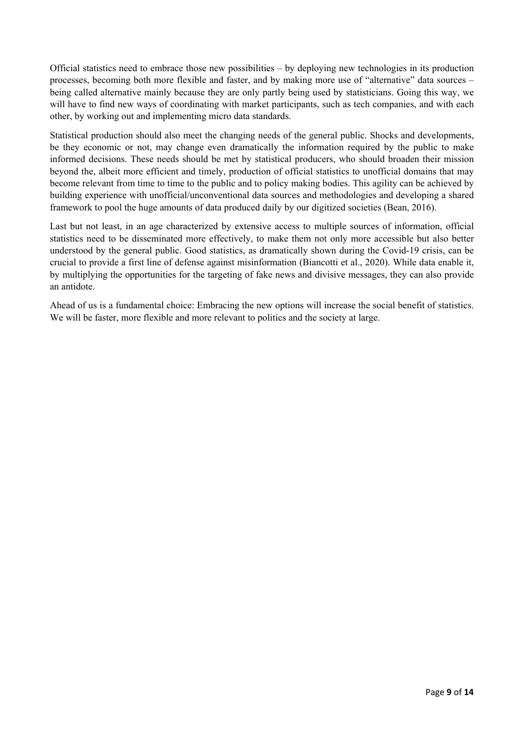Official statistics need to embrace those new possibilities – by deploying new technologies in its production processes, becoming both more flexible and faster, and by making more use of "alternative" data sources – being called alternative mainly because they are only partly being used by statisticians. Going this way, we will have to find new ways of coordinating with market participants, such as tech companies, and with each other, by working out and implementing micro data standards.

Statistical production should also meet the changing needs of the general public. Shocks and developments, be they economic or not, may change even dramatically the information required by the public to make informed decisions. These needs should be met by statistical producers, who should broaden their mission beyond the, albeit more efficient and timely, production of official statistics to unofficial domains that may become relevant from time to time to the public and to policy making bodies. This agility can be achieved by building experience with unofficial/unconventional data sources and methodologies and developing a shared framework to pool the huge amounts of data produced daily by our digitized societies (Bean, 2016).

Last but not least, in an age characterized by extensive access to multiple sources of information, official statistics need to be disseminated more effectively, to make them not only more accessible but also better understood by the general public. Good statistics, as dramatically shown during the Covid-19 crisis, can be crucial to provide a first line of defense against misinformation (Biancotti et al., 2020). While data enable it, by multiplying the opportunities for the targeting of fake news and divisive messages, they can also provide an antidote.

Ahead of us is a fundamental choice: Embracing the new options will increase the social benefit of statistics. We will be faster, more flexible and more relevant to politics and the society at large.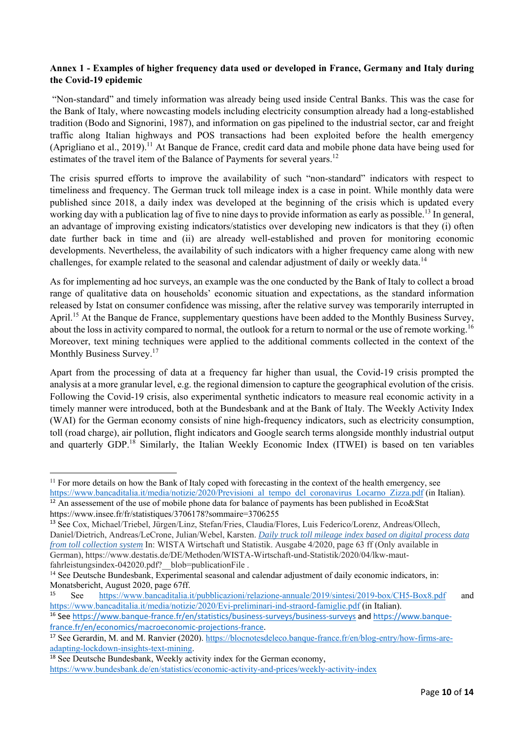### **Annex 1 - Examples of higher frequency data used or developed in France, Germany and Italy during the Covid-19 epidemic**

"Non-standard" and timely information was already being used inside Central Banks. This was the case for the Bank of Italy, where nowcasting models including electricity consumption already had a long-established tradition (Bodo and Signorini, 1987), and information on gas pipelined to the industrial sector, car and freight traffic along Italian highways and POS transactions had been exploited before the health emergency (Aprigliano et al., 2019).<sup>11</sup> At Banque de France, credit card data and mobile phone data have being used for estimates of the travel item of the Balance of Payments for several years.<sup>12</sup>

The crisis spurred efforts to improve the availability of such "non-standard" indicators with respect to timeliness and frequency. The German truck toll mileage index is a case in point. While monthly data were published since 2018, a daily index was developed at the beginning of the crisis which is updated every working day with a publication lag of five to nine days to provide information as early as possible.<sup>13</sup> In general, an advantage of improving existing indicators/statistics over developing new indicators is that they (i) often date further back in time and (ii) are already well-established and proven for monitoring economic developments. Nevertheless, the availability of such indicators with a higher frequency came along with new challenges, for example related to the seasonal and calendar adjustment of daily or weekly data.<sup>14</sup>

As for implementing ad hoc surveys, an example was the one conducted by the Bank of Italy to collect a broad range of qualitative data on households' economic situation and expectations, as the standard information released by Istat on consumer confidence was missing, after the relative survey was temporarily interrupted in April.<sup>15</sup> At the Banque de France, supplementary questions have been added to the Monthly Business Survey, about the loss in activity compared to normal, the outlook for a return to normal or the use of remote working.<sup>16</sup> Moreover, text mining techniques were applied to the additional comments collected in the context of the Monthly Business Survey.<sup>17</sup>

Apart from the processing of data at a frequency far higher than usual, the Covid-19 crisis prompted the analysis at a more granular level, e.g. the regional dimension to capture the geographical evolution of the crisis. Following the Covid-19 crisis, also experimental synthetic indicators to measure real economic activity in a timely manner were introduced, both at the Bundesbank and at the Bank of Italy. The Weekly Activity Index (WAI) for the German economy consists of nine high-frequency indicators, such as electricity consumption, toll (road charge), air pollution, flight indicators and Google search terms alongside monthly industrial output and quarterly GDP.<sup>18</sup> Similarly, the Italian Weekly Economic Index (ITWEI) is based on ten variables

  $11$  For more details on how the Bank of Italy coped with forecasting in the context of the health emergency, see

https://www.bancaditalia.it/media/notizie/2020/Previsioni al tempo del coronavirus Locarno Zizza.pdf (in Italian). <sup>12</sup> An assessement of the use of mobile phone data for balance of payments has been published in Eco&Stat https://www.insee.fr/fr/statistiques/3706178?sommaire=3706255

<sup>13</sup> See Cox, Michael/Triebel, Jürgen/Linz, Stefan/Fries, Claudia/Flores, Luis Federico/Lorenz, Andreas/Ollech, Daniel/Dietrich, Andreas/LeCrone, Julian/Webel, Karsten. *Daily truck toll mileage index based on digital process data from toll collection system* In: WISTA Wirtschaft und Statistik. Ausgabe 4/2020, page 63 ff (Only available in German), https://www.destatis.de/DE/Methoden/WISTA-Wirtschaft-und-Statistik/2020/04/lkw-mautfahrleistungsindex-042020.pdf? blob=publicationFile .

<sup>&</sup>lt;sup>14</sup> See Deutsche Bundesbank, Experimental seasonal and calendar adjustment of daily economic indicators, in: Monatsbericht, August 2020, page 67ff.

<sup>15</sup> See https://www.bancaditalia.it/pubblicazioni/relazione-annuale/2019/sintesi/2019-box/CH5-Box8.pdf and https://www.bancaditalia.it/media/notizie/2020/Evi-preliminari-ind-straord-famiglie.pdf (in Italian).

<sup>&</sup>lt;sup>16</sup> See https://www.banque-france.fr/en/statistics/business-surveys/business-surveys and https://www.banquefrance.fr/en/economics/macroeconomic‐projections‐france.

<sup>&</sup>lt;sup>17</sup> See Gerardin, M. and M. Ranvier (2020). https://blocnotesdeleco.banque-france.fr/en/blog-entry/how-firms-areadapting-lockdown-insights-text-mining.

<sup>&</sup>lt;sup>18</sup> See Deutsche Bundesbank, Weekly activity index for the German economy, https://www.bundesbank.de/en/statistics/economic-activity-and-prices/weekly-activity-index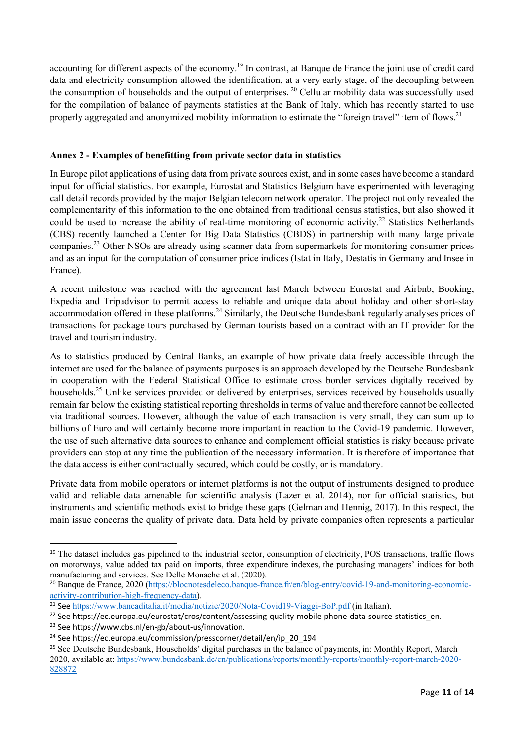accounting for different aspects of the economy.<sup>19</sup> In contrast, at Banque de France the joint use of credit card data and electricity consumption allowed the identification, at a very early stage, of the decoupling between the consumption of households and the output of enterprises. <sup>20</sup> Cellular mobility data was successfully used for the compilation of balance of payments statistics at the Bank of Italy, which has recently started to use properly aggregated and anonymized mobility information to estimate the "foreign travel" item of flows.<sup>21</sup>

### **Annex 2 - Examples of benefitting from private sector data in statistics**

In Europe pilot applications of using data from private sources exist, and in some cases have become a standard input for official statistics. For example, Eurostat and Statistics Belgium have experimented with leveraging call detail records provided by the major Belgian telecom network operator. The project not only revealed the complementarity of this information to the one obtained from traditional census statistics, but also showed it could be used to increase the ability of real-time monitoring of economic activity.<sup>22</sup> Statistics Netherlands (CBS) recently launched a Center for Big Data Statistics (CBDS) in partnership with many large private companies.23 Other NSOs are already using scanner data from supermarkets for monitoring consumer prices and as an input for the computation of consumer price indices (Istat in Italy, Destatis in Germany and Insee in France).

A recent milestone was reached with the agreement last March between Eurostat and Airbnb, Booking, Expedia and Tripadvisor to permit access to reliable and unique data about holiday and other short-stay accommodation offered in these platforms.<sup>24</sup> Similarly, the Deutsche Bundesbank regularly analyses prices of transactions for package tours purchased by German tourists based on a contract with an IT provider for the travel and tourism industry.

As to statistics produced by Central Banks, an example of how private data freely accessible through the internet are used for the balance of payments purposes is an approach developed by the Deutsche Bundesbank in cooperation with the Federal Statistical Office to estimate cross border services digitally received by households.<sup>25</sup> Unlike services provided or delivered by enterprises, services received by households usually remain far below the existing statistical reporting thresholds in terms of value and therefore cannot be collected via traditional sources. However, although the value of each transaction is very small, they can sum up to billions of Euro and will certainly become more important in reaction to the Covid-19 pandemic. However, the use of such alternative data sources to enhance and complement official statistics is risky because private providers can stop at any time the publication of the necessary information. It is therefore of importance that the data access is either contractually secured, which could be costly, or is mandatory.

Private data from mobile operators or internet platforms is not the output of instruments designed to produce valid and reliable data amenable for scientific analysis (Lazer et al. 2014), nor for official statistics, but instruments and scientific methods exist to bridge these gaps (Gelman and Hennig, 2017). In this respect, the main issue concerns the quality of private data. Data held by private companies often represents a particular

<sup>&</sup>lt;sup>19</sup> The dataset includes gas pipelined to the industrial sector, consumption of electricity, POS transactions, traffic flows on motorways, value added tax paid on imports, three expenditure indexes, the purchasing managers' indices for both manufacturing and services. See Delle Monache et al. (2020).

<sup>&</sup>lt;sup>20</sup> Banque de France, 2020 (https://blocnotesdeleco.banque-france.fr/en/blog-entry/covid-19-and-monitoring-economicactivity-contribution-high-frequency-data).

<sup>&</sup>lt;sup>21</sup> See https://www.bancaditalia.it/media/notizie/2020/Nota-Covid19-Viaggi-BoP.pdf (in Italian).

<sup>&</sup>lt;sup>22</sup> See https://ec.europa.eu/eurostat/cros/content/assessing-quality-mobile-phone-data-source-statistics\_en.

<sup>23</sup> See https://www.cbs.nl/en‐gb/about‐us/innovation.

<sup>&</sup>lt;sup>24</sup> See https://ec.europa.eu/commission/presscorner/detail/en/ip\_20\_194

<sup>&</sup>lt;sup>25</sup> See Deutsche Bundesbank, Households' digital purchases in the balance of payments, in: Monthly Report, March 2020, available at: https://www.bundesbank.de/en/publications/reports/monthly-reports/monthly-report-march-2020- 828872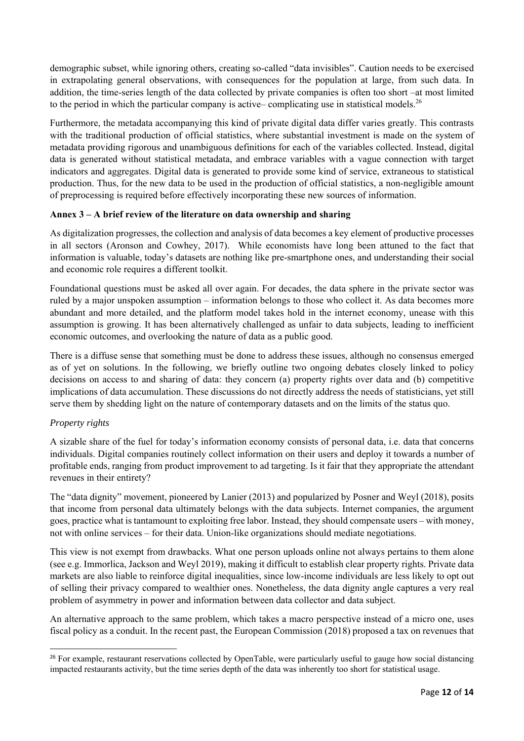demographic subset, while ignoring others, creating so-called "data invisibles". Caution needs to be exercised in extrapolating general observations, with consequences for the population at large, from such data. In addition, the time-series length of the data collected by private companies is often too short –at most limited to the period in which the particular company is active– complicating use in statistical models.<sup>26</sup>

Furthermore, the metadata accompanying this kind of private digital data differ varies greatly. This contrasts with the traditional production of official statistics, where substantial investment is made on the system of metadata providing rigorous and unambiguous definitions for each of the variables collected. Instead, digital data is generated without statistical metadata, and embrace variables with a vague connection with target indicators and aggregates. Digital data is generated to provide some kind of service, extraneous to statistical production. Thus, for the new data to be used in the production of official statistics, a non-negligible amount of preprocessing is required before effectively incorporating these new sources of information.

### **Annex 3 – A brief review of the literature on data ownership and sharing**

As digitalization progresses, the collection and analysis of data becomes a key element of productive processes in all sectors (Aronson and Cowhey, 2017). While economists have long been attuned to the fact that information is valuable, today's datasets are nothing like pre-smartphone ones, and understanding their social and economic role requires a different toolkit.

Foundational questions must be asked all over again. For decades, the data sphere in the private sector was ruled by a major unspoken assumption – information belongs to those who collect it. As data becomes more abundant and more detailed, and the platform model takes hold in the internet economy, unease with this assumption is growing. It has been alternatively challenged as unfair to data subjects, leading to inefficient economic outcomes, and overlooking the nature of data as a public good.

There is a diffuse sense that something must be done to address these issues, although no consensus emerged as of yet on solutions. In the following, we briefly outline two ongoing debates closely linked to policy decisions on access to and sharing of data: they concern (a) property rights over data and (b) competitive implications of data accumulation. These discussions do not directly address the needs of statisticians, yet still serve them by shedding light on the nature of contemporary datasets and on the limits of the status quo.

### *Property rights*

A sizable share of the fuel for today's information economy consists of personal data, i.e. data that concerns individuals. Digital companies routinely collect information on their users and deploy it towards a number of profitable ends, ranging from product improvement to ad targeting. Is it fair that they appropriate the attendant revenues in their entirety?

The "data dignity" movement, pioneered by Lanier (2013) and popularized by Posner and Weyl (2018), posits that income from personal data ultimately belongs with the data subjects. Internet companies, the argument goes, practice what is tantamount to exploiting free labor. Instead, they should compensate users – with money, not with online services – for their data. Union-like organizations should mediate negotiations.

This view is not exempt from drawbacks. What one person uploads online not always pertains to them alone (see e.g. Immorlica, Jackson and Weyl 2019), making it difficult to establish clear property rights. Private data markets are also liable to reinforce digital inequalities, since low-income individuals are less likely to opt out of selling their privacy compared to wealthier ones. Nonetheless, the data dignity angle captures a very real problem of asymmetry in power and information between data collector and data subject.

An alternative approach to the same problem, which takes a macro perspective instead of a micro one, uses fiscal policy as a conduit. In the recent past, the European Commission (2018) proposed a tax on revenues that

<sup>&</sup>lt;sup>26</sup> For example, restaurant reservations collected by OpenTable, were particularly useful to gauge how social distancing impacted restaurants activity, but the time series depth of the data was inherently too short for statistical usage.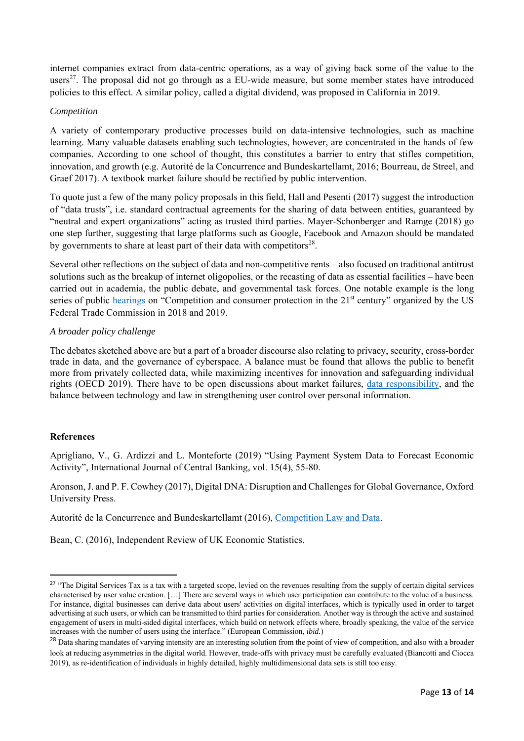internet companies extract from data-centric operations, as a way of giving back some of the value to the users<sup>27</sup>. The proposal did not go through as a EU-wide measure, but some member states have introduced policies to this effect. A similar policy, called a digital dividend, was proposed in California in 2019.

#### *Competition*

A variety of contemporary productive processes build on data-intensive technologies, such as machine learning. Many valuable datasets enabling such technologies, however, are concentrated in the hands of few companies. According to one school of thought, this constitutes a barrier to entry that stifles competition, innovation, and growth (e.g. Autorité de la Concurrence and Bundeskartellamt, 2016; Bourreau, de Streel, and Graef 2017). A textbook market failure should be rectified by public intervention.

To quote just a few of the many policy proposals in this field, Hall and Pesenti (2017) suggest the introduction of "data trusts", i.e. standard contractual agreements for the sharing of data between entities, guaranteed by "neutral and expert organizations" acting as trusted third parties. Mayer-Schonberger and Ramge (2018) go one step further, suggesting that large platforms such as Google, Facebook and Amazon should be mandated by governments to share at least part of their data with competitors $28$ .

Several other reflections on the subject of data and non-competitive rents – also focused on traditional antitrust solutions such as the breakup of internet oligopolies, or the recasting of data as essential facilities – have been carried out in academia, the public debate, and governmental task forces. One notable example is the long series of public hearings on "Competition and consumer protection in the 21<sup>st</sup> century" organized by the US Federal Trade Commission in 2018 and 2019.

### *A broader policy challenge*

The debates sketched above are but a part of a broader discourse also relating to privacy, security, cross-border trade in data, and the governance of cyberspace. A balance must be found that allows the public to benefit more from privately collected data, while maximizing incentives for innovation and safeguarding individual rights (OECD 2019). There have to be open discussions about market failures, data responsibility, and the balance between technology and law in strengthening user control over personal information.

#### **References**

Aprigliano, V., G. Ardizzi and L. Monteforte (2019) "Using Payment System Data to Forecast Economic Activity", International Journal of Central Banking, vol. 15(4), 55-80.

Aronson, J. and P. F. Cowhey (2017), Digital DNA: Disruption and Challenges for Global Governance, Oxford University Press.

Autorité de la Concurrence and Bundeskartellamt (2016), Competition Law and Data.

Bean, C. (2016), Independent Review of UK Economic Statistics.

<sup>&</sup>lt;sup>27</sup> "The Digital Services Tax is a tax with a targeted scope, levied on the revenues resulting from the supply of certain digital services characterised by user value creation. […] There are several ways in which user participation can contribute to the value of a business. For instance, digital businesses can derive data about users' activities on digital interfaces, which is typically used in order to target advertising at such users, or which can be transmitted to third parties for consideration. Another way is through the active and sustained engagement of users in multi-sided digital interfaces, which build on network effects where, broadly speaking, the value of the service increases with the number of users using the interface." (European Commission, *ibid.*)

<sup>&</sup>lt;sup>28</sup> Data sharing mandates of varying intensity are an interesting solution from the point of view of competition, and also with a broader look at reducing asymmetries in the digital world. However, trade-offs with privacy must be carefully evaluated (Biancotti and Ciocca 2019), as re-identification of individuals in highly detailed, highly multidimensional data sets is still too easy.